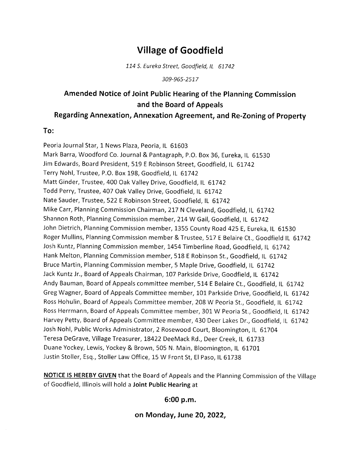# Village of Goodfield

L14 S. Eureko Street, Goodfield, lL <sup>61742</sup>

309-965-2517

## Amended Notice of Joint Public Hearing of the Planning commission and the Board of Appeals

#### Regarding Annexation, Annexation Agreement, and Re-Zoning of property

#### To:

Peoria Journal Star, 1 News Plaza, Peoria, IL 61603 Mark Barra, Woodford Co. Journal & Pantagraph, P.O. Box 36, Eureka, lL 61530 Jim Edwards, Board President, 519 E Robinson Street, Goodfield, lL 61742 Terry Nohl, Trustee, P.O. Box 198, Goodfield, lL 61742 Matt Ginder, Trustee, 400 Oak Valley Drive, Goodfield, IL 61742 Todd Perry, Trustee, 407 Oak Valley Drive, Goodfield, lL 6L742 Nate Sauder, Trustee, 522 E Robinson Street, Goodfield, lL 61742 Mike Carr, Planning Commission Chairman, 217 N Cleveland, Goodfield, IL 61742 Shannon Roth, Planning Commission member, 214 W Gail, Goodfield, IL 61742 John Dietrich, Planning Commission member, 1355 County Road 425 E, Eureka, lL 61530 Roger Mullins, Planning Commission member & Trustee, 517 E Belaire Ct., Goodfield lL 61742 Josh Kuntz, Planning Commission member, 1454Timberline Road, Goodfield, lL 61742 Hank Melton, Planning Commission member, 518 E Robinson St., Goodfield, IL 61742 Bruce Martin, Planning Commission member, 5 Maple Drive, Goodfield, IL 61742 Jack Kuntz Jr., Board of Appeals Chairman, 107 Parkside Drive, Goodfield, IL 61742 Andy Bauman, Board of Appeals committee member, 514 E Belaire Ct., Goodfield, IL 61742 Greg Wagner, Board of Appeals Committee member, 101 Parkside Drive, Goodfield, lL 6L742 Ross Hohulin, Board of Appeals Committee member, 208 W Peoria St., Goodfield, IL 61742 Ross Herrmann, Board of Appeals Committee member, 301 W Peoria St., Goodfield, IL 61742 Harvey Petty, Board of Appeals Committee member,430 Deer Lakes Dr., Goodfield, lL 61742 Josh Nohl, Public Works Administrator, 2 Rosewood Court, Bloomington, IL 61704 Teresa DeGrave, Village Treasurer, L8422 DeeMack Rd., Deer Creek, lL 61733 Duane Yockey, Lewis, Yockey & Brown,505 N. Main, Bloomington, lL 61701 Justin Stoller, Esq., Stoller Law Office, 15 W Front St, El Paso, IL 61738

NOTICE IS HEREBY GIVEN that the Board of Appeals and the Planning Commission of the Village of Goodfield, lllinois will hold a Joint Public Hearing at

#### 6:00 p.m.

#### on Monday, June 20,2022,